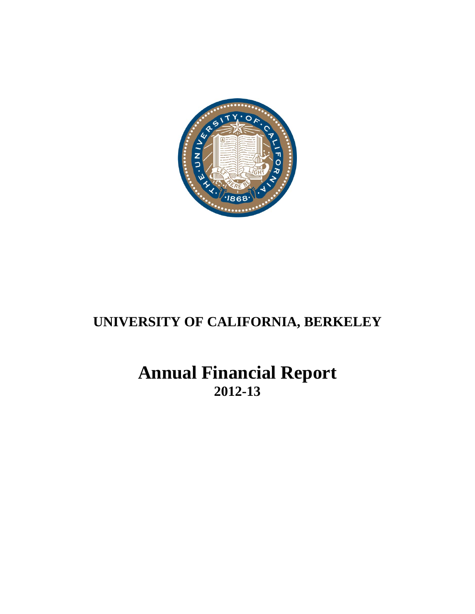

# **Annual Financial Report 2012-13**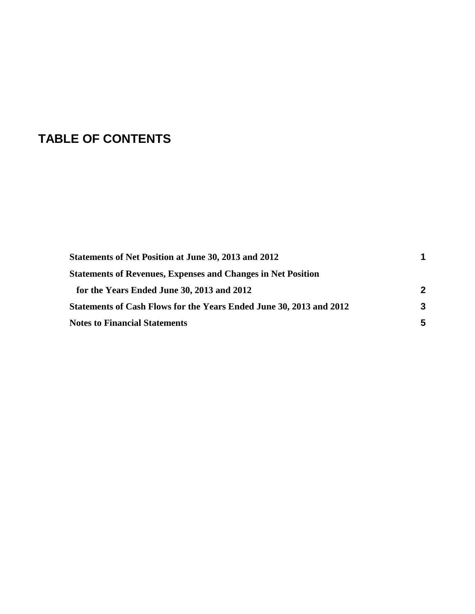# **TABLE OF CONTENTS**

| Statements of Net Position at June 30, 2013 and 2012                |   |
|---------------------------------------------------------------------|---|
| <b>Statements of Revenues, Expenses and Changes in Net Position</b> |   |
| for the Years Ended June 30, 2013 and 2012                          | 2 |
| Statements of Cash Flows for the Years Ended June 30, 2013 and 2012 | 3 |
| <b>Notes to Financial Statements</b>                                | 5 |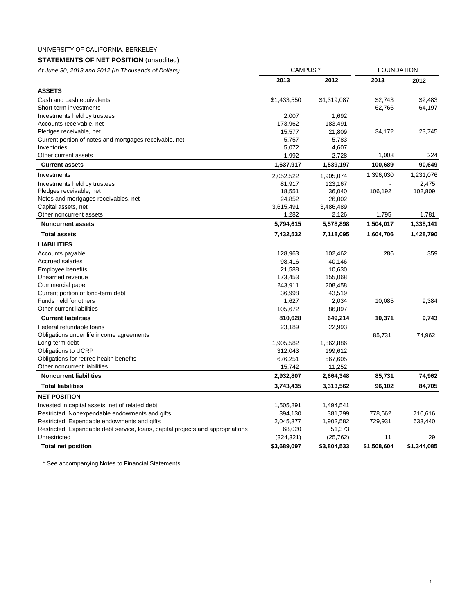## <span id="page-2-0"></span>**STATEMENTS OF NET POSITION** (unaudited)

|  | At June 30, 2013 and 2012 (In Thousands of Dollars) |  |
|--|-----------------------------------------------------|--|

| At June 30, 2013 and 2012 (In Thousands of Dollars)                             | <b>CAMPUS</b> |             | <b>FOUNDATION</b> |             |
|---------------------------------------------------------------------------------|---------------|-------------|-------------------|-------------|
|                                                                                 | 2013          | 2012        | 2013              | 2012        |
| <b>ASSETS</b>                                                                   |               |             |                   |             |
| Cash and cash equivalents                                                       | \$1,433,550   | \$1,319,087 | \$2,743           | \$2,483     |
| Short-term investments                                                          |               |             | 62,766            | 64,197      |
| Investments held by trustees                                                    | 2,007         | 1,692       |                   |             |
| Accounts receivable, net                                                        | 173,962       | 183,491     |                   |             |
| Pledges receivable, net                                                         | 15,577        | 21,809      | 34,172            | 23,745      |
| Current portion of notes and mortgages receivable, net                          | 5,757         | 5,783       |                   |             |
| Inventories                                                                     | 5,072         | 4,607       |                   |             |
| Other current assets                                                            | 1,992         | 2,728       | 1,008             | 224         |
| <b>Current assets</b>                                                           | 1,637,917     | 1,539,197   | 100,689           | 90,649      |
| Investments                                                                     | 2,052,522     | 1,905,074   | 1,396,030         | 1,231,076   |
| Investments held by trustees                                                    | 81,917        | 123,167     |                   | 2,475       |
| Pledges receivable, net                                                         | 18,551        | 36,040      | 106,192           | 102,809     |
| Notes and mortgages receivables, net                                            | 24,852        | 26,002      |                   |             |
| Capital assets, net                                                             | 3,615,491     | 3,486,489   |                   |             |
| Other noncurrent assets                                                         | 1,282         | 2,126       | 1,795             | 1,781       |
| <b>Noncurrent assets</b>                                                        | 5,794,615     | 5,578,898   | 1,504,017         | 1,338,141   |
| <b>Total assets</b>                                                             | 7,432,532     | 7,118,095   | 1,604,706         | 1,428,790   |
| <b>LIABILITIES</b>                                                              |               |             |                   |             |
| Accounts payable                                                                | 128,963       | 102,462     | 286               | 359         |
| <b>Accrued salaries</b>                                                         | 98,416        | 40,146      |                   |             |
| Employee benefits                                                               | 21,588        | 10,630      |                   |             |
| Unearned revenue                                                                | 173,453       | 155,068     |                   |             |
| Commercial paper                                                                | 243,911       | 208,458     |                   |             |
| Current portion of long-term debt                                               | 36,998        | 43,519      |                   |             |
| Funds held for others                                                           | 1,627         | 2,034       | 10,085            | 9,384       |
| Other current liabilities                                                       | 105,672       | 86,897      |                   |             |
| <b>Current liabilities</b>                                                      | 810,628       | 649,214     | 10,371            | 9,743       |
| Federal refundable loans                                                        | 23,189        | 22,993      |                   |             |
| Obligations under life income agreements                                        |               |             | 85,731            | 74,962      |
| Long-term debt                                                                  | 1,905,582     | 1,862,886   |                   |             |
| Obligations to UCRP                                                             | 312,043       | 199,612     |                   |             |
| Obligations for retiree health benefits                                         | 676,251       | 567,605     |                   |             |
| Other noncurrent liabilities                                                    | 15,742        | 11,252      |                   |             |
| <b>Noncurrent liabilities</b>                                                   | 2,932,807     | 2,664,348   | 85,731            | 74,962      |
| <b>Total liabilities</b>                                                        | 3,743,435     | 3,313,562   | 96,102            | 84,705      |
| <b>NET POSITION</b>                                                             |               |             |                   |             |
| Invested in capital assets, net of related debt                                 | 1,505,891     | 1,494,541   |                   |             |
| Restricted: Nonexpendable endowments and gifts                                  | 394,130       | 381,799     | 778,662           | 710,616     |
| Restricted: Expendable endowments and gifts                                     | 2,045,377     | 1,902,582   | 729,931           | 633,440     |
| Restricted: Expendable debt service, loans, capital projects and appropriations | 68,020        | 51,373      |                   |             |
| Unrestricted                                                                    | (324, 321)    | (25, 762)   | 11                | 29          |
| <b>Total net position</b>                                                       | \$3,689,097   | \$3,804,533 | \$1,508,604       | \$1,344,085 |
|                                                                                 |               |             |                   |             |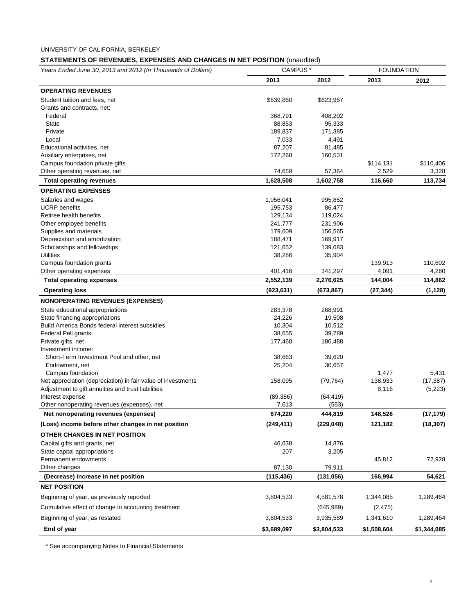# <span id="page-3-0"></span>**STATEMENTS OF REVENUES, EXPENSES AND CHANGES IN NET POSITION** (unaudited)

| Years Ended June 30, 2013 and 2012 (In Thousands of Dollars)  | <b>CAMPUS*</b>       |                      | <b>FOUNDATION</b> |             |
|---------------------------------------------------------------|----------------------|----------------------|-------------------|-------------|
|                                                               | 2013                 | 2012                 | 2013              | 2012        |
| <b>OPERATING REVENUES</b>                                     |                      |                      |                   |             |
| Student tuition and fees, net                                 | \$639,860            | \$623,967            |                   |             |
| Grants and contracts, net:                                    |                      |                      |                   |             |
| Federal                                                       | 368,791              | 408,202              |                   |             |
| <b>State</b>                                                  | 88,853               | 95,333               |                   |             |
| Private                                                       | 189,837              | 171,385              |                   |             |
| Local                                                         | 7,033                | 4,491                |                   |             |
| Educational activities, net                                   | 87,207               | 81,485               |                   |             |
| Auxiliary enterprises, net                                    | 172,268              | 160,531              |                   |             |
| Campus foundation private gifts                               |                      |                      | \$114,131         | \$110,406   |
| Other operating revenues, net                                 | 74,659               | 57,364               | 2,529             | 3,328       |
| <b>Total operating revenues</b>                               | 1,628,508            | 1,602,758            | 116,660           | 113,734     |
| <b>OPERATING EXPENSES</b>                                     |                      |                      |                   |             |
| Salaries and wages                                            | 1,056,041            | 995,852              |                   |             |
| <b>UCRP</b> benefits                                          | 195,753              | 86,477               |                   |             |
| Retiree health benefits                                       | 129,134              | 119,024              |                   |             |
| Other employee benefits                                       | 241,777              | 231,906              |                   |             |
| Supplies and materials                                        | 179,609              | 156,565              |                   |             |
| Depreciation and amortization                                 | 188,471              | 169,917              |                   |             |
| Scholarships and fellowships                                  | 121,652              | 139,683              |                   |             |
| <b>Utilities</b>                                              | 38,286               | 35,904               |                   |             |
| Campus foundation grants                                      |                      |                      | 139,913           | 110,602     |
| Other operating expenses                                      | 401,416              | 341,297              | 4,091             | 4,260       |
| <b>Total operating expenses</b>                               | 2,552,139            | 2,276,625            | 144,004           | 114,862     |
| <b>Operating loss</b>                                         | (923, 631)           | (673, 867)           | (27, 344)         | (1, 128)    |
| <b>NONOPERATING REVENUES (EXPENSES)</b>                       |                      |                      |                   |             |
| State educational appropriations                              | 283,378              | 268,991              |                   |             |
| State financing appropriations                                | 24,226               | 19,508               |                   |             |
| Build America Bonds federal interest subsidies                | 10,304               | 10,512               |                   |             |
| Federal Pell grants                                           | 38,655               | 39,789               |                   |             |
| Private gifts, net                                            | 177,468              | 180,488              |                   |             |
| Investment income:                                            |                      |                      |                   |             |
| Short-Term Investment Pool and other, net                     | 38,663               | 39,620               |                   |             |
| Endowment, net                                                | 25,204               | 30,657               |                   |             |
| Campus foundation                                             |                      |                      | 1,477             | 5,431       |
| Net appreciation (depreciation) in fair value of investments  | 158,095              | (79, 764)            | 138,933           | (17, 387)   |
| Adjustment to gift annuities and trust liabilities            |                      |                      | 8,116             | (5,223)     |
| Interest expense                                              | (89, 386)            | (64, 419)            |                   |             |
| Other nonoperating revenues (expenses), net                   | 7,613                | (563)                |                   |             |
| Net nonoperating revenues (expenses)                          | 674,220              | 444,819              | 148,526           | (17, 179)   |
| (Loss) income before other changes in net position            | (249, 411)           | (229, 048)           | 121,182           | (18, 307)   |
| OTHER CHANGES IN NET POSITION                                 |                      |                      |                   |             |
|                                                               | 46,638               |                      |                   |             |
| Capital gifts and grants, net<br>State capital appropriations |                      | 14,876               |                   |             |
| Permanent endowments                                          | 207                  | 3,205                | 45,812            | 72,928      |
|                                                               |                      |                      |                   |             |
| Other changes<br>(Decrease) increase in net position          | 87,130<br>(115, 436) | 79,911<br>(131, 056) | 166,994           | 54,621      |
|                                                               |                      |                      |                   |             |
| <b>NET POSITION</b>                                           |                      |                      |                   |             |
| Beginning of year, as previously reported                     | 3,804,533            | 4,581,578            | 1,344,085         | 1,289,464   |
| Cumulative effect of change in accounting treatment           |                      | (645,989)            | (2, 475)          |             |
| Beginning of year, as restated                                | 3,804,533            | 3,935,589            | 1,341,610         | 1,289,464   |
| End of year                                                   | \$3,689,097          | \$3,804,533          | \$1,508,604       | \$1,344,085 |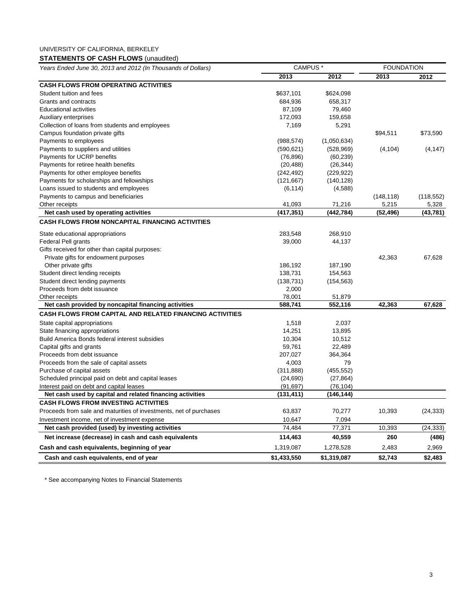# <span id="page-4-0"></span>**STATEMENTS OF CASH FLOWS** (unaudited)

| Years Ended June 30, 2013 and 2012 (In Thousands of Dollars)       | <b>CAMPUS</b> <sup>*</sup> |             | <b>FOUNDATION</b> |            |
|--------------------------------------------------------------------|----------------------------|-------------|-------------------|------------|
|                                                                    | 2013                       | 2012        | 2013              | 2012       |
| <b>CASH FLOWS FROM OPERATING ACTIVITIES</b>                        |                            |             |                   |            |
| Student tuition and fees                                           | \$637,101                  | \$624,098   |                   |            |
| Grants and contracts                                               | 684,936                    | 658,317     |                   |            |
| <b>Educational activities</b>                                      | 87,109                     | 79,460      |                   |            |
| Auxiliary enterprises                                              | 172,093                    | 159,658     |                   |            |
| Collection of loans from students and employees                    | 7,169                      | 5,291       |                   |            |
| Campus foundation private gifts                                    |                            |             | \$94,511          | \$73,590   |
| Payments to employees                                              | (988, 574)                 | (1,050,634) |                   |            |
| Payments to suppliers and utilities                                | (590, 621)                 | (528, 969)  | (4, 104)          | (4, 147)   |
| Payments for UCRP benefits                                         | (76, 896)                  | (60, 239)   |                   |            |
| Payments for retiree health benefits                               | (20, 488)                  | (26, 344)   |                   |            |
| Payments for other employee benefits                               | (242, 492)                 | (229, 922)  |                   |            |
| Payments for scholarships and fellowships                          | (121, 667)                 | (140, 128)  |                   |            |
| Loans issued to students and employees                             | (6, 114)                   | (4,588)     |                   |            |
| Payments to campus and beneficiaries                               |                            |             | (148, 118)        | (118, 552) |
| Other receipts                                                     | 41,093                     | 71,216      | 5,215             | 5,328      |
| Net cash used by operating activities                              | (417, 351)                 | (442, 784)  | (52, 496)         | (43, 781)  |
| <b>CASH FLOWS FROM NONCAPITAL FINANCING ACTIVITIES</b>             |                            |             |                   |            |
| State educational appropriations                                   | 283,548                    | 268,910     |                   |            |
| <b>Federal Pell grants</b>                                         | 39,000                     | 44,137      |                   |            |
| Gifts received for other than capital purposes:                    |                            |             |                   |            |
| Private gifts for endowment purposes                               |                            |             | 42,363            | 67,628     |
| Other private gifts                                                | 186,192                    | 187,190     |                   |            |
| Student direct lending receipts                                    | 138,731                    | 154,563     |                   |            |
| Student direct lending payments                                    | (138, 731)                 | (154, 563)  |                   |            |
| Proceeds from debt issuance                                        | 2,000                      |             |                   |            |
| Other receipts                                                     | 78,001                     | 51,879      |                   |            |
| Net cash provided by noncapital financing activities               | 588,741                    | 552,116     | 42,363            | 67,628     |
| <b>CASH FLOWS FROM CAPITAL AND RELATED FINANCING ACTIVITIES</b>    |                            |             |                   |            |
| State capital appropriations                                       | 1,518                      | 2,037       |                   |            |
| State financing appropriations                                     | 14,251                     | 13,895      |                   |            |
| Build America Bonds federal interest subsidies                     | 10,304                     | 10,512      |                   |            |
| Capital gifts and grants                                           | 59,761                     | 22,489      |                   |            |
| Proceeds from debt issuance                                        | 207,027                    | 364,364     |                   |            |
| Proceeds from the sale of capital assets                           | 4,003                      | 79          |                   |            |
| Purchase of capital assets                                         | (311, 888)                 | (455, 552)  |                   |            |
| Scheduled principal paid on debt and capital leases                | (24, 690)                  | (27, 864)   |                   |            |
| Interest paid on debt and capital leases                           | (91, 697)                  | (76, 104)   |                   |            |
| Net cash used by capital and related financing activities          | (131, 411)                 | (146, 144)  |                   |            |
| <b>CASH FLOWS FROM INVESTING ACTIVITIES</b>                        |                            |             |                   |            |
| Proceeds from sale and maturities of investments, net of purchases | 63,837                     | 70,277      | 10,393            | (24, 333)  |
| Investment income, net of investment expense                       | 10,647                     | 7,094       |                   |            |
| Net cash provided (used) by investing activities                   | 74,484                     | 77,371      | 10,393            | (24, 333)  |
| Net increase (decrease) in cash and cash equivalents               | 114,463                    | 40,559      | 260               | (486)      |
| Cash and cash equivalents, beginning of year                       | 1,319,087                  | 1,278,528   | 2,483             | 2,969      |
| Cash and cash equivalents, end of year                             | \$1,433,550                | \$1,319,087 | \$2,743           | \$2,483    |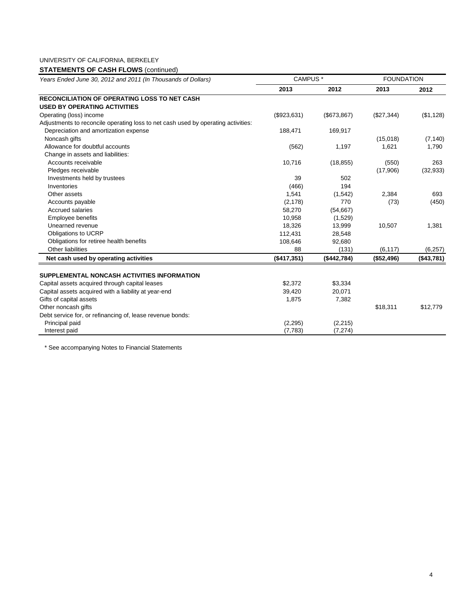# **STATEMENTS OF CASH FLOWS** (continued)

| Years Ended June 30, 2012 and 2011 (In Thousands of Dollars)                      | CAMPUS <sup>*</sup> |             | <b>FOUNDATION</b> |            |
|-----------------------------------------------------------------------------------|---------------------|-------------|-------------------|------------|
|                                                                                   | 2013                | 2012        | 2013              | 2012       |
| <b>RECONCILIATION OF OPERATING LOSS TO NET CASH</b>                               |                     |             |                   |            |
| <b>USED BY OPERATING ACTIVITIES</b>                                               |                     |             |                   |            |
| Operating (loss) income                                                           | (\$923,631)         | (\$673,867) | (\$27,344)        | (\$1,128)  |
| Adjustments to reconcile operating loss to net cash used by operating activities: |                     |             |                   |            |
| Depreciation and amortization expense                                             | 188,471             | 169,917     |                   |            |
| Noncash gifts                                                                     |                     |             | (15,018)          | (7, 140)   |
| Allowance for doubtful accounts                                                   | (562)               | 1,197       | 1,621             | 1,790      |
| Change in assets and liabilities:                                                 |                     |             |                   |            |
| Accounts receivable                                                               | 10,716              | (18, 855)   | (550)             | 263        |
| Pledges receivable                                                                |                     |             | (17,906)          | (32, 933)  |
| Investments held by trustees                                                      | 39                  | 502         |                   |            |
| Inventories                                                                       | (466)               | 194         |                   |            |
| Other assets                                                                      | 1,541               | (1,542)     | 2,384             | 693        |
| Accounts payable                                                                  | (2, 178)            | 770         | (73)              | (450)      |
| <b>Accrued salaries</b>                                                           | 58,270              | (54, 667)   |                   |            |
| Employee benefits                                                                 | 10,958              | (1,529)     |                   |            |
| Unearned revenue                                                                  | 18,326              | 13,999      | 10,507            | 1,381      |
| Obligations to UCRP                                                               | 112,431             | 28,548      |                   |            |
| Obligations for retiree health benefits                                           | 108,646             | 92,680      |                   |            |
| Other liabilities                                                                 | 88                  | (131)       | (6, 117)          | (6, 257)   |
| Net cash used by operating activities                                             | (\$417,351)         | (\$442,784) | (\$52,496)        | (\$43,781) |
| SUPPLEMENTAL NONCASH ACTIVITIES INFORMATION                                       |                     |             |                   |            |
| Capital assets acquired through capital leases                                    | \$2,372             | \$3,334     |                   |            |
| Capital assets acquired with a liability at year-end                              | 39,420              | 20,071      |                   |            |
| Gifts of capital assets                                                           | 1,875               | 7,382       |                   |            |
| Other noncash gifts                                                               |                     |             | \$18,311          | \$12,779   |
| Debt service for, or refinancing of, lease revenue bonds:                         |                     |             |                   |            |
| Principal paid                                                                    | (2, 295)            | (2,215)     |                   |            |
| Interest paid                                                                     | (7, 783)            | (7, 274)    |                   |            |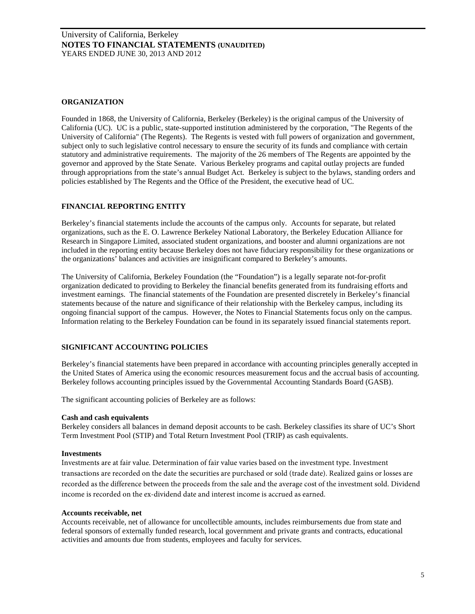## <span id="page-6-0"></span>**ORGANIZATION**

Founded in 1868, the University of California, Berkeley (Berkeley) is the original campus of the University of California (UC). UC is a public, state-supported institution administered by the corporation, "The Regents of the University of California" (The Regents). The Regents is vested with full powers of organization and government, subject only to such legislative control necessary to ensure the security of its funds and compliance with certain statutory and administrative requirements. The majority of the 26 members of The Regents are appointed by the governor and approved by the State Senate. Various Berkeley programs and capital outlay projects are funded through appropriations from the state's annual Budget Act. Berkeley is subject to the bylaws, standing orders and policies established by The Regents and the Office of the President, the executive head of UC.

## **FINANCIAL REPORTING ENTITY**

Berkeley's financial statements include the accounts of the campus only. Accounts for separate, but related organizations, such as the E. O. Lawrence Berkeley National Laboratory, the Berkeley Education Alliance for Research in Singapore Limited, associated student organizations, and booster and alumni organizations are not included in the reporting entity because Berkeley does not have fiduciary responsibility for these organizations or the organizations' balances and activities are insignificant compared to Berkeley's amounts.

The University of California, Berkeley Foundation (the "Foundation") is a legally separate not-for-profit organization dedicated to providing to Berkeley the financial benefits generated from its fundraising efforts and investment earnings. The financial statements of the Foundation are presented discretely in Berkeley's financial statements because of the nature and significance of their relationship with the Berkeley campus, including its ongoing financial support of the campus. However, the Notes to Financial Statements focus only on the campus. Information relating to the Berkeley Foundation can be found in its separately issued financial statements report.

# **SIGNIFICANT ACCOUNTING POLICIES**

Berkeley's financial statements have been prepared in accordance with accounting principles generally accepted in the United States of America using the economic resources measurement focus and the accrual basis of accounting. Berkeley follows accounting principles issued by the Governmental Accounting Standards Board (GASB).

The significant accounting policies of Berkeley are as follows:

## **Cash and cash equivalents**

Berkeley considers all balances in demand deposit accounts to be cash. Berkeley classifies its share of UC's Short Term Investment Pool (STIP) and Total Return Investment Pool (TRIP) as cash equivalents.

#### **Investments**

Investments are at fair value. Determination of fair value varies based on the investment type. Investment transactions are recorded on the date the securities are purchased or sold (trade date). Realized gains or losses are recorded as the difference between the proceeds from the sale and the average cost of the investment sold. Dividend income is recorded on the ex-dividend date and interest income is accrued as earned.

#### **Accounts receivable, net**

Accounts receivable, net of allowance for uncollectible amounts, includes reimbursements due from state and federal sponsors of externally funded research, local government and private grants and contracts, educational activities and amounts due from students, employees and faculty for services.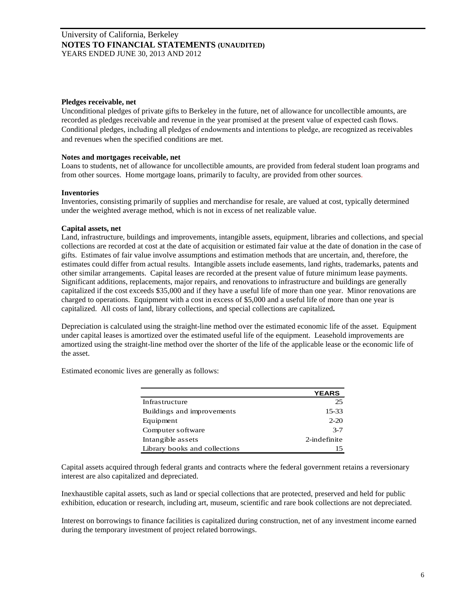## **Pledges receivable, net**

Unconditional pledges of private gifts to Berkeley in the future, net of allowance for uncollectible amounts, are recorded as pledges receivable and revenue in the year promised at the present value of expected cash flows. Conditional pledges, including all pledges of endowments and intentions to pledge, are recognized as receivables and revenues when the specified conditions are met.

## **Notes and mortgages receivable, net**

Loans to students, net of allowance for uncollectible amounts, are provided from federal student loan programs and from other sources. Home mortgage loans, primarily to faculty, are provided from other sources.

## **Inventories**

Inventories, consisting primarily of supplies and merchandise for resale, are valued at cost, typically determined under the weighted average method, which is not in excess of net realizable value.

## **Capital assets, net**

Land, infrastructure, buildings and improvements, intangible assets, equipment, libraries and collections, and special collections are recorded at cost at the date of acquisition or estimated fair value at the date of donation in the case of gifts. Estimates of fair value involve assumptions and estimation methods that are uncertain, and, therefore, the estimates could differ from actual results. Intangible assets include easements, land rights, trademarks, patents and other similar arrangements. Capital leases are recorded at the present value of future minimum lease payments. Significant additions, replacements, major repairs, and renovations to infrastructure and buildings are generally capitalized if the cost exceeds \$35,000 and if they have a useful life of more than one year. Minor renovations are charged to operations. Equipment with a cost in excess of \$5,000 and a useful life of more than one year is capitalized. All costs of land, library collections, and special collections are capitalized**.**

Depreciation is calculated using the straight-line method over the estimated economic life of the asset. Equipment under capital leases is amortized over the estimated useful life of the equipment. Leasehold improvements are amortized using the straight-line method over the shorter of the life of the applicable lease or the economic life of the asset.

Estimated economic lives are generally as follows:

|                               | <b>YEARS</b> |
|-------------------------------|--------------|
| Infrastructure                | 25           |
| Buildings and improvements    | $15 - 33$    |
| Equipment                     | $2 - 20$     |
| Computer software             | $3 - 7$      |
| Intangible assets             | 2-indefinite |
| Library books and collections |              |

Capital assets acquired through federal grants and contracts where the federal government retains a reversionary interest are also capitalized and depreciated.

Inexhaustible capital assets, such as land or special collections that are protected, preserved and held for public exhibition, education or research, including art, museum, scientific and rare book collections are not depreciated.

Interest on borrowings to finance facilities is capitalized during construction, net of any investment income earned during the temporary investment of project related borrowings.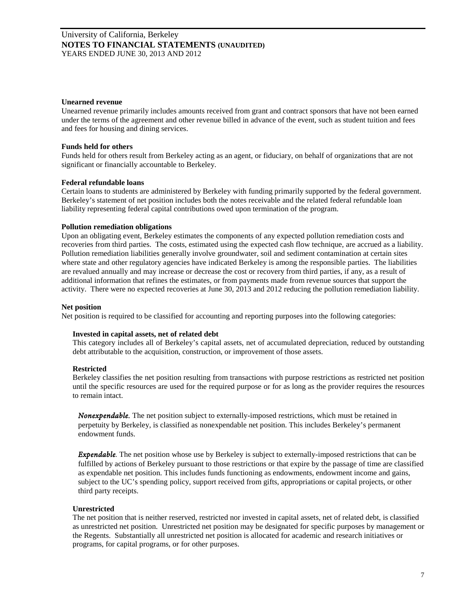#### **Unearned revenue**

Unearned revenue primarily includes amounts received from grant and contract sponsors that have not been earned under the terms of the agreement and other revenue billed in advance of the event, such as student tuition and fees and fees for housing and dining services.

## **Funds held for others**

Funds held for others result from Berkeley acting as an agent, or fiduciary, on behalf of organizations that are not significant or financially accountable to Berkeley.

#### **Federal refundable loans**

Certain loans to students are administered by Berkeley with funding primarily supported by the federal government. Berkeley's statement of net position includes both the notes receivable and the related federal refundable loan liability representing federal capital contributions owed upon termination of the program.

#### **Pollution remediation obligations**

Upon an obligating event, Berkeley estimates the components of any expected pollution remediation costs and recoveries from third parties. The costs, estimated using the expected cash flow technique, are accrued as a liability. Pollution remediation liabilities generally involve groundwater, soil and sediment contamination at certain sites where state and other regulatory agencies have indicated Berkeley is among the responsible parties. The liabilities are revalued annually and may increase or decrease the cost or recovery from third parties, if any, as a result of additional information that refines the estimates, or from payments made from revenue sources that support the activity. There were no expected recoveries at June 30, 2013 and 2012 reducing the pollution remediation liability.

## **Net position**

Net position is required to be classified for accounting and reporting purposes into the following categories:

## **Invested in capital assets, net of related debt**

This category includes all of Berkeley's capital assets, net of accumulated depreciation, reduced by outstanding debt attributable to the acquisition, construction, or improvement of those assets.

## **Restricted**

Berkeley classifies the net position resulting from transactions with purpose restrictions as restricted net position until the specific resources are used for the required purpose or for as long as the provider requires the resources to remain intact.

*Nonexpendable.* The net position subject to externally-imposed restrictions, which must be retained in perpetuity by Berkeley, is classified as nonexpendable net position. This includes Berkeley's permanent endowment funds.

*Expendable*. The net position whose use by Berkeley is subject to externally-imposed restrictions that can be fulfilled by actions of Berkeley pursuant to those restrictions or that expire by the passage of time are classified as expendable net position. This includes funds functioning as endowments, endowment income and gains, subject to the UC's spending policy, support received from gifts, appropriations or capital projects, or other third party receipts.

## **Unrestricted**

The net position that is neither reserved, restricted nor invested in capital assets, net of related debt, is classified as unrestricted net position. Unrestricted net position may be designated for specific purposes by management or the Regents. Substantially all unrestricted net position is allocated for academic and research initiatives or programs, for capital programs, or for other purposes.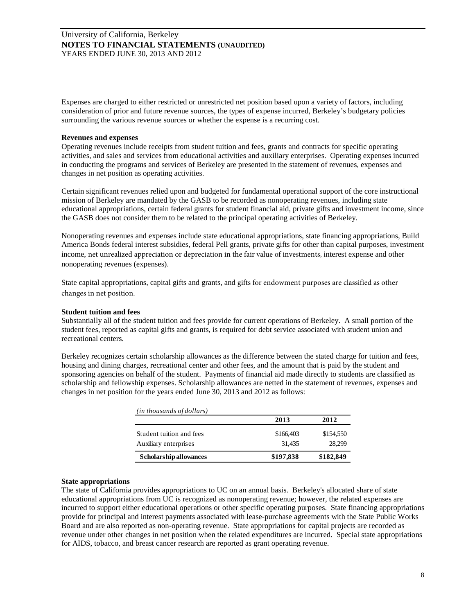Expenses are charged to either restricted or unrestricted net position based upon a variety of factors, including consideration of prior and future revenue sources, the types of expense incurred, Berkeley's budgetary policies surrounding the various revenue sources or whether the expense is a recurring cost.

## **Revenues and expenses**

Operating revenues include receipts from student tuition and fees, grants and contracts for specific operating activities, and sales and services from educational activities and auxiliary enterprises. Operating expenses incurred in conducting the programs and services of Berkeley are presented in the statement of revenues, expenses and changes in net position as operating activities.

Certain significant revenues relied upon and budgeted for fundamental operational support of the core instructional mission of Berkeley are mandated by the GASB to be recorded as nonoperating revenues, including state educational appropriations, certain federal grants for student financial aid, private gifts and investment income, since the GASB does not consider them to be related to the principal operating activities of Berkeley.

Nonoperating revenues and expenses include state educational appropriations, state financing appropriations, Build America Bonds federal interest subsidies, federal Pell grants, private gifts for other than capital purposes, investment income, net unrealized appreciation or depreciation in the fair value of investments, interest expense and other nonoperating revenues (expenses).

State capital appropriations, capital gifts and grants, and gifts for endowment purposes are classified as other changes in net position.

## **Student tuition and fees**

Substantially all of the student tuition and fees provide for current operations of Berkeley. A small portion of the student fees, reported as capital gifts and grants, is required for debt service associated with student union and recreational centers.

Berkeley recognizes certain scholarship allowances as the difference between the stated charge for tuition and fees, housing and dining charges, recreational center and other fees, and the amount that is paid by the student and sponsoring agencies on behalf of the student. Payments of financial aid made directly to students are classified as scholarship and fellowship expenses. Scholarship allowances are netted in the statement of revenues, expenses and changes in net position for the years ended June 30, 2013 and 2012 as follows:

| (in thousands of dollars)                         |                     |                     |
|---------------------------------------------------|---------------------|---------------------|
|                                                   | 2013                | 2012                |
| Student tuition and fees<br>Auxiliary enterprises | \$166,403<br>31.435 | \$154,550<br>28.299 |
| Scholarship allowances                            | \$197,838           | \$182,849           |

## **State appropriations**

The state of California provides appropriations to UC on an annual basis. Berkeley's allocated share of state educational appropriations from UC is recognized as nonoperating revenue; however, the related expenses are incurred to support either educational operations or other specific operating purposes. State financing appropriations provide for principal and interest payments associated with lease-purchase agreements with the State Public Works Board and are also reported as non-operating revenue. State appropriations for capital projects are recorded as revenue under other changes in net position when the related expenditures are incurred. Special state appropriations for AIDS, tobacco, and breast cancer research are reported as grant operating revenue.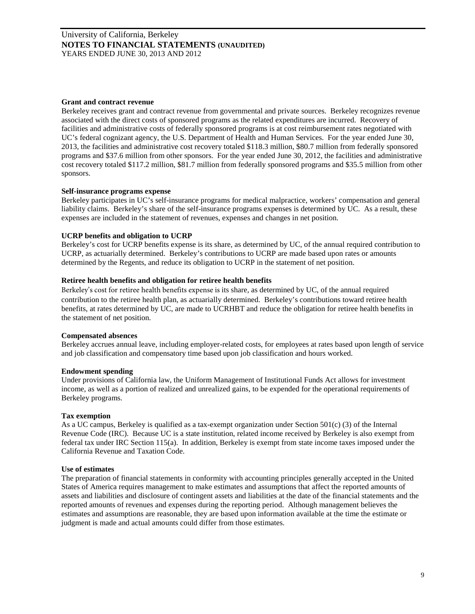## **Grant and contract revenue**

Berkeley receives grant and contract revenue from governmental and private sources. Berkeley recognizes revenue associated with the direct costs of sponsored programs as the related expenditures are incurred. Recovery of facilities and administrative costs of federally sponsored programs is at cost reimbursement rates negotiated with UC's federal cognizant agency, the U.S. Department of Health and Human Services. For the year ended June 30, 2013, the facilities and administrative cost recovery totaled \$118.3 million, \$80.7 million from federally sponsored programs and \$37.6 million from other sponsors. For the year ended June 30, 2012, the facilities and administrative cost recovery totaled \$117.2 million, \$81.7 million from federally sponsored programs and \$35.5 million from other sponsors.

## **Self-insurance programs expense**

Berkeley participates in UC's self-insurance programs for medical malpractice, workers' compensation and general liability claims. Berkeley's share of the self-insurance programs expenses is determined by UC. As a result, these expenses are included in the statement of revenues, expenses and changes in net position.

#### **UCRP benefits and obligation to UCRP**

Berkeley's cost for UCRP benefits expense is its share, as determined by UC, of the annual required contribution to UCRP, as actuarially determined. Berkeley's contributions to UCRP are made based upon rates or amounts determined by the Regents, and reduce its obligation to UCRP in the statement of net position.

## **Retiree health benefits and obligation for retiree health benefits**

Berkeley's cost for retiree health benefits expense is its share, as determined by UC, of the annual required contribution to the retiree health plan, as actuarially determined. Berkeley's contributions toward retiree health benefits, at rates determined by UC, are made to UCRHBT and reduce the obligation for retiree health benefits in the statement of net position.

#### **Compensated absences**

Berkeley accrues annual leave, including employer-related costs, for employees at rates based upon length of service and job classification and compensatory time based upon job classification and hours worked.

#### **Endowment spending**

Under provisions of California law, the Uniform Management of Institutional Funds Act allows for investment income, as well as a portion of realized and unrealized gains, to be expended for the operational requirements of Berkeley programs.

## **Tax exemption**

As a UC campus, Berkeley is qualified as a tax-exempt organization under Section 501(c) (3) of the Internal Revenue Code (IRC). Because UC is a state institution, related income received by Berkeley is also exempt from federal tax under IRC Section 115(a). In addition, Berkeley is exempt from state income taxes imposed under the California Revenue and Taxation Code.

## **Use of estimates**

The preparation of financial statements in conformity with accounting principles generally accepted in the United States of America requires management to make estimates and assumptions that affect the reported amounts of assets and liabilities and disclosure of contingent assets and liabilities at the date of the financial statements and the reported amounts of revenues and expenses during the reporting period. Although management believes the estimates and assumptions are reasonable, they are based upon information available at the time the estimate or judgment is made and actual amounts could differ from those estimates.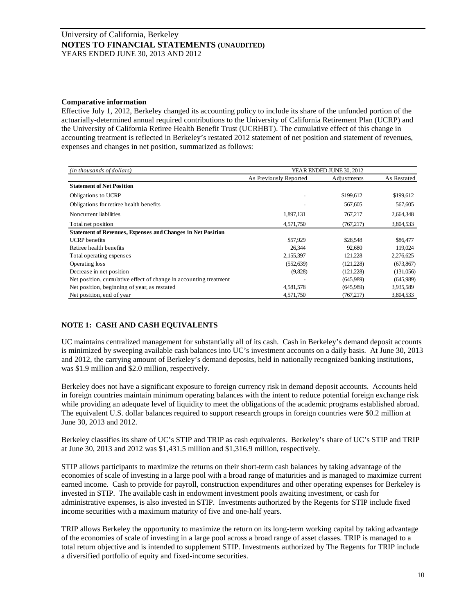## **Comparative information**

Effective July 1, 2012, Berkeley changed its accounting policy to include its share of the unfunded portion of the actuarially-determined annual required contributions to the University of California Retirement Plan (UCRP) and the University of California Retiree Health Benefit Trust (UCRHBT). The cumulative effect of this change in accounting treatment is reflected in Berkeley's restated 2012 statement of net position and statement of revenues, expenses and changes in net position, summarized as follows:

| (in thousands of dollars)                                          | YEAR ENDED JUNE 30, 2012 |             |             |
|--------------------------------------------------------------------|--------------------------|-------------|-------------|
|                                                                    | As Previously Reported   | Adjustments | As Restated |
| <b>Statement of Net Position</b>                                   |                          |             |             |
| Obligations to UCRP                                                |                          | \$199,612   | \$199,612   |
| Obligations for retiree health benefits                            |                          | 567,605     | 567,605     |
| Noncurrent liabilities                                             | 1,897,131                | 767,217     | 2,664,348   |
| Total net position                                                 | 4,571,750                | (767, 217)  | 3,804,533   |
| <b>Statement of Revenues, Expenses and Changes in Net Position</b> |                          |             |             |
| <b>UCRP</b> benefits                                               | \$57,929                 | \$28,548    | \$86,477    |
| Retiree health benefits                                            | 26.344                   | 92,680      | 119.024     |
| Total operating expenses                                           | 2,155,397                | 121,228     | 2,276,625   |
| Operating loss                                                     | (552, 639)               | (121, 228)  | (673, 867)  |
| Decrease in net position                                           | (9,828)                  | (121, 228)  | (131,056)   |
| Net position, cumulative effect of change in accounting treatment  |                          | (645,989)   | (645,989)   |
| Net position, beginning of year, as restated                       | 4,581,578                | (645,989)   | 3,935,589   |
| Net position, end of year                                          | 4,571,750                | (767, 217)  | 3,804,533   |

# **NOTE 1: CASH AND CASH EQUIVALENTS**

UC maintains centralized management for substantially all of its cash. Cash in Berkeley's demand deposit accounts is minimized by sweeping available cash balances into UC's investment accounts on a daily basis. At June 30, 2013 and 2012, the carrying amount of Berkeley's demand deposits, held in nationally recognized banking institutions, was \$1.9 million and \$2.0 million, respectively.

Berkeley does not have a significant exposure to foreign currency risk in demand deposit accounts. Accounts held in foreign countries maintain minimum operating balances with the intent to reduce potential foreign exchange risk while providing an adequate level of liquidity to meet the obligations of the academic programs established abroad. The equivalent U.S. dollar balances required to support research groups in foreign countries were \$0.2 million at June 30, 2013 and 2012.

Berkeley classifies its share of UC's STIP and TRIP as cash equivalents. Berkeley's share of UC's STIP and TRIP at June 30, 2013 and 2012 was \$1,431.5 million and \$1,316.9 million, respectively.

STIP allows participants to maximize the returns on their short-term cash balances by taking advantage of the economies of scale of investing in a large pool with a broad range of maturities and is managed to maximize current earned income. Cash to provide for payroll, construction expenditures and other operating expenses for Berkeley is invested in STIP. The available cash in endowment investment pools awaiting investment, or cash for administrative expenses, is also invested in STIP. Investments authorized by the Regents for STIP include fixed income securities with a maximum maturity of five and one-half years.

TRIP allows Berkeley the opportunity to maximize the return on its long-term working capital by taking advantage of the economies of scale of investing in a large pool across a broad range of asset classes. TRIP is managed to a total return objective and is intended to supplement STIP. Investments authorized by The Regents for TRIP include a diversified portfolio of equity and fixed-income securities.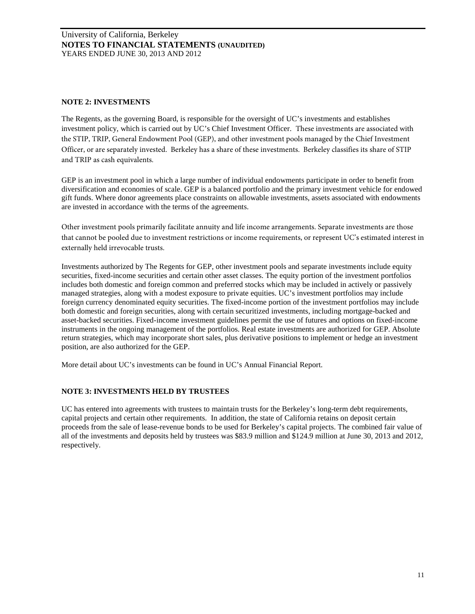# **NOTE 2: INVESTMENTS**

The Regents, as the governing Board, is responsible for the oversight of UC's investments and establishes investment policy, which is carried out by UC's Chief Investment Officer. These investments are associated with the STIP, TRIP, General Endowment Pool (GEP), and other investment pools managed by the Chief Investment Officer, or are separately invested. Berkeley has a share of these investments. Berkeley classifies its share of STIP and TRIP as cash equivalents.

GEP is an investment pool in which a large number of individual endowments participate in order to benefit from diversification and economies of scale. GEP is a balanced portfolio and the primary investment vehicle for endowed gift funds. Where donor agreements place constraints on allowable investments, assets associated with endowments are invested in accordance with the terms of the agreements.

Other investment pools primarily facilitate annuity and life income arrangements. Separate investments are those that cannot be pooled due to investment restrictions or income requirements, or represent UC's estimated interest in externally held irrevocable trusts.

Investments authorized by The Regents for GEP, other investment pools and separate investments include equity securities, fixed-income securities and certain other asset classes. The equity portion of the investment portfolios includes both domestic and foreign common and preferred stocks which may be included in actively or passively managed strategies, along with a modest exposure to private equities. UC's investment portfolios may include foreign currency denominated equity securities. The fixed-income portion of the investment portfolios may include both domestic and foreign securities, along with certain securitized investments, including mortgage-backed and asset-backed securities. Fixed-income investment guidelines permit the use of futures and options on fixed-income instruments in the ongoing management of the portfolios. Real estate investments are authorized for GEP. Absolute return strategies, which may incorporate short sales, plus derivative positions to implement or hedge an investment position, are also authorized for the GEP.

More detail about UC's investments can be found in UC's Annual Financial Report.

# **NOTE 3: INVESTMENTS HELD BY TRUSTEES**

UC has entered into agreements with trustees to maintain trusts for the Berkeley's long-term debt requirements, capital projects and certain other requirements. In addition, the state of California retains on deposit certain proceeds from the sale of lease-revenue bonds to be used for Berkeley's capital projects. The combined fair value of all of the investments and deposits held by trustees was \$83.9 million and \$124.9 million at June 30, 2013 and 2012, respectively.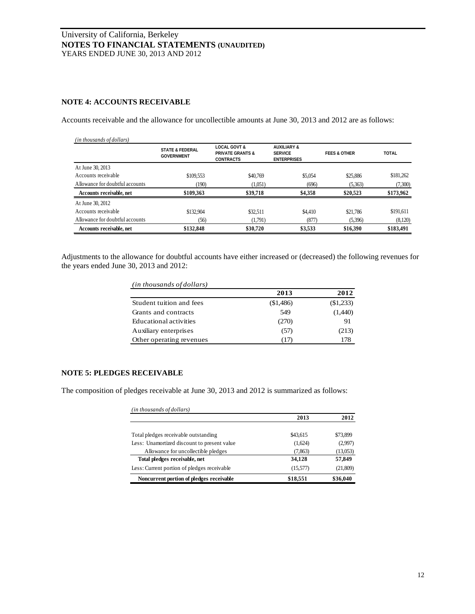# **NOTE 4: ACCOUNTS RECEIVABLE**

Accounts receivable and the allowance for uncollectible amounts at June 30, 2013 and 2012 are as follows:

| (in thousands of dollars)       |                                                 |                                                                            |                                                                |                         |              |
|---------------------------------|-------------------------------------------------|----------------------------------------------------------------------------|----------------------------------------------------------------|-------------------------|--------------|
|                                 | <b>STATE &amp; FEDERAL</b><br><b>GOVERNMENT</b> | <b>LOCAL GOVT &amp;</b><br><b>PRIVATE GRANTS &amp;</b><br><b>CONTRACTS</b> | <b>AUXILIARY &amp;</b><br><b>SERVICE</b><br><b>ENTERPRISES</b> | <b>FEES &amp; OTHER</b> | <b>TOTAL</b> |
| At June 30, 2013                |                                                 |                                                                            |                                                                |                         |              |
| Accounts receivable             | \$109,553                                       | \$40,769                                                                   | \$5,054                                                        | \$25,886                | \$181,262    |
| Allowance for doubtful accounts | (190)                                           | (1,051)                                                                    | (696)                                                          | (5,363)                 | (7,300)      |
| Accounts receivable, net        | \$109,363                                       | \$39,718                                                                   | \$4,358                                                        | \$20,523                | \$173,962    |
| At June 30, 2012                |                                                 |                                                                            |                                                                |                         |              |
| Accounts receivable             | \$132,904                                       | \$32,511                                                                   | \$4.410                                                        | \$21.786                | \$191,611    |
| Allowance for doubtful accounts | (56)                                            | (1,791)                                                                    | (877)                                                          | (5,396)                 | (8,120)      |
| Accounts receivable, net        | \$132,848                                       | \$30,720                                                                   | \$3,533                                                        | \$16,390                | \$183,491    |

Adjustments to the allowance for doubtful accounts have either increased or (decreased) the following revenues for the years ended June 30, 2013 and 2012:

| (in thousands of dollars) |           |           |  |
|---------------------------|-----------|-----------|--|
|                           | 2013      | 2012      |  |
| Student tuition and fees  | (\$1,486) | (\$1,233) |  |
| Grants and contracts      | 549       | (1,440)   |  |
| Educational activities    | (270)     | 91        |  |
| Auxiliary enterprises     | (57)      | (213)     |  |
| Other operating revenues  | (17)      | 178       |  |

# **NOTE 5: PLEDGES RECEIVABLE**

The composition of pledges receivable at June 30, 2013 and 2012 is summarized as follows:

| (in thousands of dollars)                   |          |          |
|---------------------------------------------|----------|----------|
|                                             | 2013     | 2012     |
|                                             |          |          |
| Total pledges receivable outstanding        | \$43,615 | \$73,899 |
| Less: Unamortized discount to present value | (1,624)  | (2,997)  |
| Allowance for uncollectible pledges         | (7, 863) | (13,053) |
| Total pledges receivable, net               | 34,128   | 57,849   |
| Less: Current portion of pledges receivable | (15,577) | (21,809) |
| Noncurrent portion of pledges receivable    | \$18,551 | \$36,040 |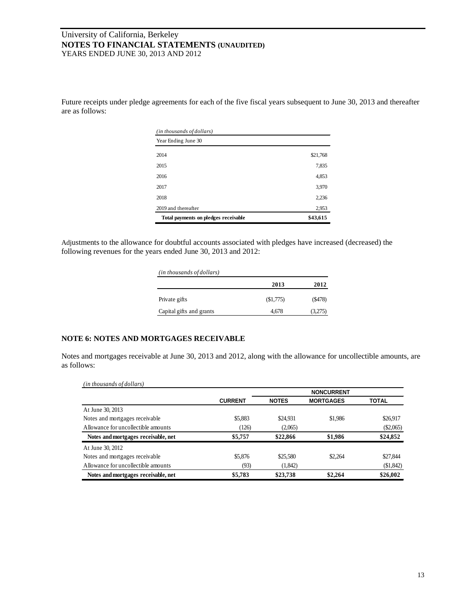Future receipts under pledge agreements for each of the five fiscal years subsequent to June 30, 2013 and thereafter are as follows:

| (in thousands of dollars)            |          |
|--------------------------------------|----------|
| Year Ending June 30                  |          |
| 2014                                 | \$21,768 |
| 2015                                 | 7,835    |
| 2016                                 | 4,853    |
| 2017                                 | 3,970    |
| 2018                                 | 2,236    |
| 2019 and thereafter                  | 2,953    |
| Total payments on pledges receivable | \$43,615 |

Adjustments to the allowance for doubtful accounts associated with pledges have increased (decreased) the following revenues for the years ended June 30, 2013 and 2012:

| (in thousands of dollars) |          |          |
|---------------------------|----------|----------|
|                           | 2013     | 2012     |
| Private gifts             | (S1,775) | ( \$478) |
| Capital gifts and grants  | 4.678    | (3,275)  |

# **NOTE 6: NOTES AND MORTGAGES RECEIVABLE**

Notes and mortgages receivable at June 30, 2013 and 2012, along with the allowance for uncollectible amounts, are as follows:

| (in thousands of dollars) |  |
|---------------------------|--|
|---------------------------|--|

|                                     |                |              | <b>NONCURRENT</b> |              |
|-------------------------------------|----------------|--------------|-------------------|--------------|
|                                     | <b>CURRENT</b> | <b>NOTES</b> | <b>MORTGAGES</b>  | <b>TOTAL</b> |
| At June 30, 2013                    |                |              |                   |              |
| Notes and mortgages receivable      | \$5,883        | \$24,931     | \$1,986           | \$26,917     |
| Allowance for uncollectible amounts | (126)          | (2,065)      |                   | $(\$2,065)$  |
| Notes and mortgages receivable, net | \$5,757        | \$22,866     | \$1,986           | \$24,852     |
| At June 30, 2012                    |                |              |                   |              |
| Notes and mortgages receivable      | \$5,876        | \$25,580     | \$2.264           | \$27,844     |
| Allowance for uncollectible amounts | (93)           | (1,842)      |                   | \$1,842      |
| Notes and mortgages receivable, net | \$5,783        | \$23,738     | \$2,264           | \$26,002     |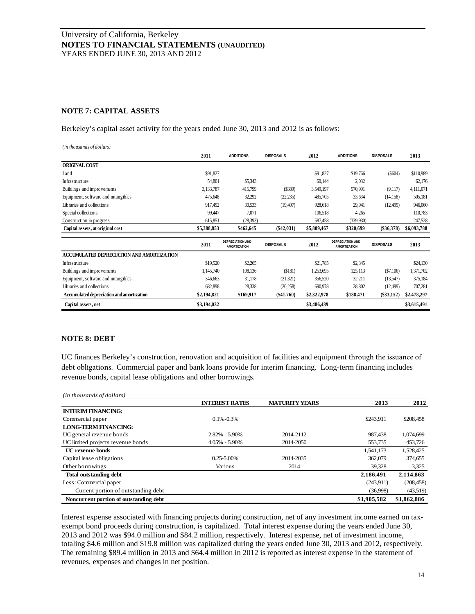# **NOTE 7: CAPITAL ASSETS**

Berkeley's capital asset activity for the years ended June 30, 2013 and 2012 is as follows:

| (in thousands of dollars)                 |             |                                                |                  |             |                                                |                  |             |
|-------------------------------------------|-------------|------------------------------------------------|------------------|-------------|------------------------------------------------|------------------|-------------|
|                                           | 2011        | <b>ADDITIONS</b>                               | <b>DISPOSALS</b> | 2012        | <b>ADDITIONS</b>                               | <b>DISPOSALS</b> | 2013        |
| <b>ORIGINAL COST</b>                      |             |                                                |                  |             |                                                |                  |             |
| Land                                      | \$91,827    |                                                |                  | \$91,827    | \$19,766                                       | $(\$604)$        | \$110,989   |
| Infrastructure                            | 54,801      | \$5,343                                        |                  | 60.144      | 2,032                                          |                  | 62,176      |
| Buildings and improvements                | 3,133,787   | 415,799                                        | (S389)           | 3,549,197   | 570,991                                        | (9,117)          | 4,111,071   |
| Equipment, software and intangibles       | 475,648     | 32,292                                         | (22, 235)        | 485,705     | 33,634                                         | (14, 158)        | 505,181     |
| Libraries and collections                 | 917,492     | 30,533                                         | (19, 407)        | 928,618     | 29,941                                         | (12, 499)        | 946,060     |
| Special collections                       | 99.447      | 7,071                                          |                  | 106,518     | 4,265                                          |                  | 110,783     |
| Construction in progress                  | 615,851     | (28, 393)                                      |                  | 587,458     | (339,930)                                      |                  | 247,528     |
| Capital assets, at original cost          | \$5,388,853 | \$462,645                                      | $(\$42,031)$     | \$5,809,467 | \$320,699                                      | $(\$36,378)$     | \$6,093,788 |
|                                           | 2011        | <b>DEPRECIATION AND</b><br><b>AMORTIZATION</b> | <b>DISPOSALS</b> | 2012        | <b>DEPRECIATION AND</b><br><b>AMORTIZATION</b> | <b>DISPOSALS</b> | 2013        |
| ACCUMULATED DEPRECIATION AND AMORTIZATION |             |                                                |                  |             |                                                |                  |             |
| Infrastructure                            | \$19,520    | \$2,265                                        |                  | \$21,785    | \$2,345                                        |                  | \$24,130    |
| Buildings and improvements                | 1,145,740   | 108,136                                        | (S181)           | 1,253,695   | 125,113                                        | (S7,106)         | 1,371,702   |
| Equipment, software and intangibles       | 346,663     | 31,178                                         | (21, 321)        | 356,520     | 32,211                                         | (13,547)         | 375,184     |
| Libraries and collections                 | 682,898     | 28,338                                         | (20, 258)        | 690,978     | 28,802                                         | (12, 499)        | 707,281     |
| Accumulated depreciation and amortization | \$2,194,821 | \$169,917                                      | $(\$41,760)$     | \$2,322,978 | \$188,471                                      | $(\$33,152)$     | \$2,478,297 |
| Capital assets, net                       | \$3,194,032 |                                                |                  | \$3,486,489 |                                                |                  | \$3,615,491 |

## **NOTE 8: DEBT**

UC finances Berkeley's construction, renovation and acquisition of facilities and equipment through the issuance of debt obligations. Commercial paper and bank loans provide for interim financing. Long-term financing includes revenue bonds, capital lease obligations and other borrowings.

| (in thousands of dollars)              |                       |                       |             |             |
|----------------------------------------|-----------------------|-----------------------|-------------|-------------|
|                                        | <b>INTEREST RATES</b> | <b>MATURITY YEARS</b> | 2013        | 2012        |
| <b>INTERIM FINANCING:</b>              |                       |                       |             |             |
| Commercial paper                       | $0.1\% - 0.3\%$       |                       | \$243.911   | \$208,458   |
| <b>LONG-TERM FINANCING:</b>            |                       |                       |             |             |
| UC general revenue bonds               | $2.82\% - 5.90\%$     | 2014-2112             | 987.438     | 1,074,699   |
| UC limited projects revenue bonds      | $4.05\% - 5.90\%$     | 2014-2050             | 553,735     | 453,726     |
| <b>UC</b> revenue bonds                |                       |                       | 1.541.173   | 1,528,425   |
| Capital lease obligations              | $0.25 - 5.00\%$       | 2014-2035             | 362,079     | 374,655     |
| Other borrowings                       | Various               | 2014                  | 39,328      | 3,325       |
| <b>Total outstanding debt</b>          |                       |                       | 2,186,491   | 2,114,863   |
| Less: Commercial paper                 |                       |                       | (243.911)   | (208, 458)  |
| Current portion of outstanding debt    |                       |                       | (36,998)    | (43,519)    |
| Noncurrent portion of outstanding debt |                       |                       | \$1,905,582 | \$1,862,886 |

Interest expense associated with financing projects during construction, net of any investment income earned on taxexempt bond proceeds during construction, is capitalized. Total interest expense during the years ended June 30, 2013 and 2012 was \$94.0 million and \$84.2 million, respectively. Interest expense, net of investment income, totaling \$4.6 million and \$19.8 million was capitalized during the years ended June 30, 2013 and 2012, respectively. The remaining \$89.4 million in 2013 and \$64.4 million in 2012 is reported as interest expense in the statement of revenues, expenses and changes in net position.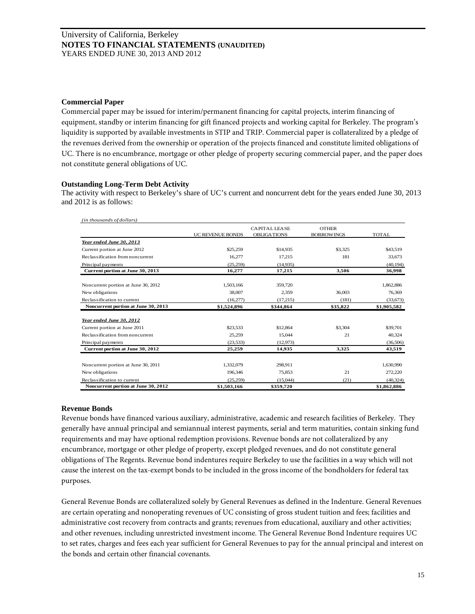## **Commercial Paper**

Commercial paper may be issued for interim/permanent financing for capital projects, interim financing of equipment, standby or interim financing for gift financed projects and working capital for Berkeley. The program's liquidity is supported by available investments in STIP and TRIP. Commercial paper is collateralized by a pledge of the revenues derived from the ownership or operation of the projects financed and constitute limited obligations of UC. There is no encumbrance, mortgage or other pledge of property securing commercial paper, and the paper does not constitute general obligations of UC.

## **Outstanding Long-Term Debt Activity**

The activity with respect to Berkeley's share of UC's current and noncurrent debt for the years ended June 30, 2013 and 2012 is as follows:

| (in thousands of dollars)           |                         |                                            |                                   |              |
|-------------------------------------|-------------------------|--------------------------------------------|-----------------------------------|--------------|
|                                     | <b>UC REVENUE BONDS</b> | <b>CAPITALI FASE</b><br><b>OBLIGATIONS</b> | <b>OTHER</b><br><b>BORROWINGS</b> | <b>TOTAL</b> |
| Year ended June 30, 2013            |                         |                                            |                                   |              |
| Current portion at June 2012        | \$25,259                | \$14,935                                   | \$3,325                           | \$43,519     |
| Reclassification from noncurrent    | 16,277                  | 17,215                                     | 181                               | 33,673       |
| Principal payments                  | (25, 259)               | (14,935)                                   |                                   | (40.194)     |
| Current portion at June 30, 2013    | 16,277                  | 17,215                                     | 3,506                             | 36,998       |
| Noncurrent portion at June 30, 2012 | 1,503,166               | 359,720                                    |                                   | 1,862,886    |
| New obligations                     | 38,007                  | 2.359                                      | 36,003                            | 76,369       |
| Reclassification to current         | (16,277)                | (17,215)                                   | (181)                             | (33,673)     |
| Noncurrent portion at June 30, 2013 | \$1,524,896             | \$344.864                                  | \$35,822                          | \$1,905,582  |
| Year ended June 30, 2012            |                         |                                            |                                   |              |
| Current portion at June 2011        | \$23,533                | \$12,864                                   | \$3,304                           | \$39,701     |
| Reclassification from noncurrent    | 25,259                  | 15.044                                     | 21                                | 40,324       |
| Principal payments                  | (23, 533)               | (12, 973)                                  |                                   | (36,506)     |
| Current portion at June 30, 2012    | 25,259                  | 14,935                                     | 3,325                             | 43,519       |
|                                     |                         |                                            |                                   |              |
| Noncurrent portion at June 30, 2011 | 1,332,079               | 298,911                                    |                                   | 1,630,990    |
| New obligations                     | 196,346                 | 75,853                                     | 21                                | 272,220      |
| Reclassification to current         | (25, 259)               | (15,044)                                   | (21)                              | (40, 324)    |
| Noncurrent portion at June 30, 2012 | \$1,503,166             | \$359,720                                  |                                   | \$1,862,886  |

# **Revenue Bonds**

Revenue bonds have financed various auxiliary, administrative, academic and research facilities of Berkeley. They generally have annual principal and semiannual interest payments, serial and term maturities, contain sinking fund requirements and may have optional redemption provisions. Revenue bonds are not collateralized by any encumbrance, mortgage or other pledge of property, except pledged revenues, and do not constitute general obligations of The Regents. Revenue bond indentures require Berkeley to use the facilities in a way which will not cause the interest on the tax-exempt bonds to be included in the gross income of the bondholders for federal tax purposes.

General Revenue Bonds are collateralized solely by General Revenues as defined in the Indenture. General Revenues are certain operating and nonoperating revenues of UC consisting of gross student tuition and fees; facilities and administrative cost recovery from contracts and grants; revenues from educational, auxiliary and other activities; and other revenues, including unrestricted investment income. The General Revenue Bond Indenture requires UC to set rates, charges and fees each year sufficient for General Revenues to pay for the annual principal and interest on the bonds and certain other financial covenants.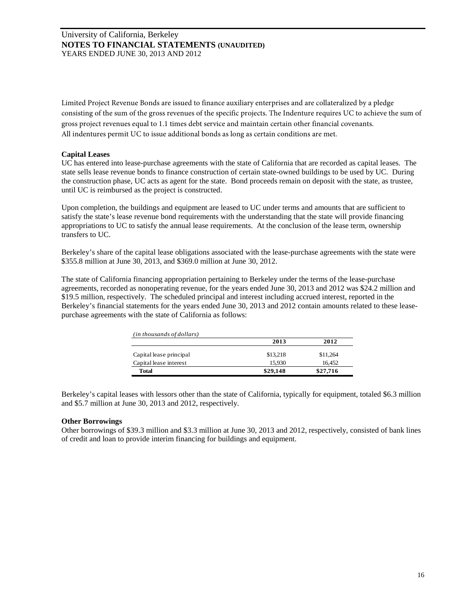Limited Project Revenue Bonds are issued to finance auxiliary enterprises and are collateralized by a pledge consisting of the sum of the gross revenues of the specific projects. The Indenture requires UC to achieve the sum of gross project revenues equal to 1.1 times debt service and maintain certain other financial covenants. All indentures permit UC to issue additional bonds as long as certain conditions are met.

# **Capital Leases**

UC has entered into lease-purchase agreements with the state of California that are recorded as capital leases. The state sells lease revenue bonds to finance construction of certain state-owned buildings to be used by UC. During the construction phase, UC acts as agent for the state. Bond proceeds remain on deposit with the state, as trustee, until UC is reimbursed as the project is constructed.

Upon completion, the buildings and equipment are leased to UC under terms and amounts that are sufficient to satisfy the state's lease revenue bond requirements with the understanding that the state will provide financing appropriations to UC to satisfy the annual lease requirements. At the conclusion of the lease term, ownership transfers to UC.

Berkeley's share of the capital lease obligations associated with the lease-purchase agreements with the state were \$355.8 million at June 30, 2013, and \$369.0 million at June 30, 2012.

The state of California financing appropriation pertaining to Berkeley under the terms of the lease-purchase agreements, recorded as nonoperating revenue, for the years ended June 30, 2013 and 2012 was \$24.2 million and \$19.5 million, respectively. The scheduled principal and interest including accrued interest, reported in the Berkeley's financial statements for the years ended June 30, 2013 and 2012 contain amounts related to these leasepurchase agreements with the state of California as follows:

| (in thousands of dollars) |          |          |
|---------------------------|----------|----------|
|                           | 2013     | 2012     |
| Capital lease principal   | \$13.218 | \$11,264 |
| Capital lease interest    | 15.930   | 16.452   |
| <b>Total</b>              | \$29,148 | \$27,716 |

Berkeley's capital leases with lessors other than the state of California, typically for equipment, totaled \$6.3 million and \$5.7 million at June 30, 2013 and 2012, respectively.

## **Other Borrowings**

Other borrowings of \$39.3 million and \$3.3 million at June 30, 2013 and 2012, respectively, consisted of bank lines of credit and loan to provide interim financing for buildings and equipment.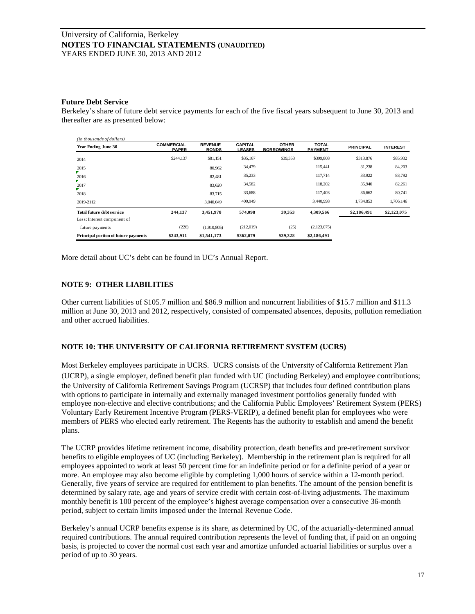## **Future Debt Service**

Berkeley's share of future debt service payments for each of the five fiscal years subsequent to June 30, 2013 and thereafter are as presented below:

| (in thousands of dollars)            |                                   |                                |                                 |                                   |                                |                  |                 |
|--------------------------------------|-----------------------------------|--------------------------------|---------------------------------|-----------------------------------|--------------------------------|------------------|-----------------|
| <b>Year Ending June 30</b>           | <b>COMMERCIAL</b><br><b>PAPER</b> | <b>REVENUE</b><br><b>BONDS</b> | <b>CAPITAL</b><br><b>LEASES</b> | <b>OTHER</b><br><b>BORROWINGS</b> | <b>TOTAL</b><br><b>PAYMENT</b> | <b>PRINCIPAL</b> | <b>INTEREST</b> |
| 2014                                 | \$244,137                         | \$81,151                       | \$35,167                        | \$39,353                          | \$399,808                      | \$313,876        | \$85,932        |
| 2015                                 |                                   | 80,962                         | 34,479                          |                                   | 115.441                        | 31,238           | 84,203          |
| 2016                                 |                                   | 82.481                         | 35,233                          |                                   | 117.714                        | 33,922           | 83,792          |
| 2017                                 |                                   | 83,620                         | 34,582                          |                                   | 118.202                        | 35,940           | 82,261          |
| ▼.<br>2018                           |                                   | 83,715                         | 33,688                          |                                   | 117.403                        | 36,662           | 80,741          |
| 2019-2112                            |                                   | 3.040.049                      | 400,949                         |                                   | 3.440.998                      | 1.734.853        | 1,706,146       |
| Total future debt service            | 244.137                           | 3,451,978                      | 574,098                         | 39.353                            | 4,309,566                      | \$2,186,491      | \$2,123,075     |
| Less: Interest component of          |                                   |                                |                                 |                                   |                                |                  |                 |
| future payments                      | (226)                             | (1.910.805)                    | (212,019)                       | (25)                              | (2,123,075)                    |                  |                 |
| Principal portion of future payments | \$243,911                         | \$1,541,173                    | \$362,079                       | \$39,328                          | \$2,186,491                    |                  |                 |

More detail about UC's debt can be found in UC's Annual Report.

## **NOTE 9: OTHER LIABILITIES**

Other current liabilities of \$105.7 million and \$86.9 million and noncurrent liabilities of \$15.7 million and \$11.3 million at June 30, 2013 and 2012, respectively, consisted of compensated absences, deposits, pollution remediation and other accrued liabilities.

# **NOTE 10: THE UNIVERSITY OF CALIFORNIA RETIREMENT SYSTEM (UCRS)**

Most Berkeley employees participate in UCRS. UCRS consists of the University of California Retirement Plan (UCRP), a single employer, defined benefit plan funded with UC (including Berkeley) and employee contributions; the University of California Retirement Savings Program (UCRSP) that includes four defined contribution plans with options to participate in internally and externally managed investment portfolios generally funded with employee non-elective and elective contributions; and the California Public Employees' Retirement System (PERS) Voluntary Early Retirement Incentive Program (PERS-VERIP), a defined benefit plan for employees who were members of PERS who elected early retirement. The Regents has the authority to establish and amend the benefit plans.

The UCRP provides lifetime retirement income, disability protection, death benefits and pre-retirement survivor benefits to eligible employees of UC (including Berkeley). Membership in the retirement plan is required for all employees appointed to work at least 50 percent time for an indefinite period or for a definite period of a year or more. An employee may also become eligible by completing 1,000 hours of service within a 12-month period. Generally, five years of service are required for entitlement to plan benefits. The amount of the pension benefit is determined by salary rate, age and years of service credit with certain cost-of-living adjustments. The maximum monthly benefit is 100 percent of the employee's highest average compensation over a consecutive 36-month period, subject to certain limits imposed under the Internal Revenue Code.

Berkeley's annual UCRP benefits expense is its share, as determined by UC, of the actuarially-determined annual required contributions. The annual required contribution represents the level of funding that, if paid on an ongoing basis, is projected to cover the normal cost each year and amortize unfunded actuarial liabilities or surplus over a period of up to 30 years.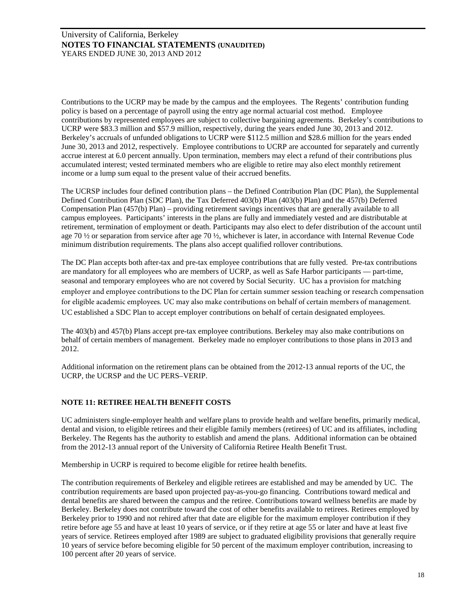Contributions to the UCRP may be made by the campus and the employees. The Regents' contribution funding policy is based on a percentage of payroll using the entry age normal actuarial cost method. Employee contributions by represented employees are subject to collective bargaining agreements. Berkeley's contributions to UCRP were \$83.3 million and \$57.9 million, respectively, during the years ended June 30, 2013 and 2012. Berkeley's accruals of unfunded obligations to UCRP were \$112.5 million and \$28.6 million for the years ended June 30, 2013 and 2012, respectively. Employee contributions to UCRP are accounted for separately and currently accrue interest at 6.0 percent annually. Upon termination, members may elect a refund of their contributions plus accumulated interest; vested terminated members who are eligible to retire may also elect monthly retirement income or a lump sum equal to the present value of their accrued benefits.

The UCRSP includes four defined contribution plans – the Defined Contribution Plan (DC Plan), the Supplemental Defined Contribution Plan (SDC Plan), the Tax Deferred 403(b) Plan (403(b) Plan) and the 457(b) Deferred Compensation Plan (457(b) Plan) – providing retirement savings incentives that are generally available to all campus employees. Participants' interests in the plans are fully and immediately vested and are distributable at retirement, termination of employment or death. Participants may also elect to defer distribution of the account until age 70 ½ or separation from service after age 70 ½, whichever is later, in accordance with Internal Revenue Code minimum distribution requirements. The plans also accept qualified rollover contributions.

The DC Plan accepts both after-tax and pre-tax employee contributions that are fully vested. Pre-tax contributions are mandatory for all employees who are members of UCRP, as well as Safe Harbor participants — part-time, seasonal and temporary employees who are not covered by Social Security. UC has a provision for matching employer and employee contributions to the DC Plan for certain summer session teaching or research compensation for eligible academic employees. UC may also make contributions on behalf of certain members of management. UC established a SDC Plan to accept employer contributions on behalf of certain designated employees.

The 403(b) and 457(b) Plans accept pre-tax employee contributions. Berkeley may also make contributions on behalf of certain members of management. Berkeley made no employer contributions to those plans in 2013 and 2012.

Additional information on the retirement plans can be obtained from the 2012-13 annual reports of the UC, the UCRP, the UCRSP and the UC PERS–VERIP.

# **NOTE 11: RETIREE HEALTH BENEFIT COSTS**

UC administers single-employer health and welfare plans to provide health and welfare benefits, primarily medical, dental and vision, to eligible retirees and their eligible family members (retirees) of UC and its affiliates, including Berkeley. The Regents has the authority to establish and amend the plans. Additional information can be obtained from the 2012-13 annual report of the University of California Retiree Health Benefit Trust.

Membership in UCRP is required to become eligible for retiree health benefits.

The contribution requirements of Berkeley and eligible retirees are established and may be amended by UC. The contribution requirements are based upon projected pay-as-you-go financing. Contributions toward medical and dental benefits are shared between the campus and the retiree. Contributions toward wellness benefits are made by Berkeley. Berkeley does not contribute toward the cost of other benefits available to retirees. Retirees employed by Berkeley prior to 1990 and not rehired after that date are eligible for the maximum employer contribution if they retire before age 55 and have at least 10 years of service, or if they retire at age 55 or later and have at least five years of service. Retirees employed after 1989 are subject to graduated eligibility provisions that generally require 10 years of service before becoming eligible for 50 percent of the maximum employer contribution, increasing to 100 percent after 20 years of service.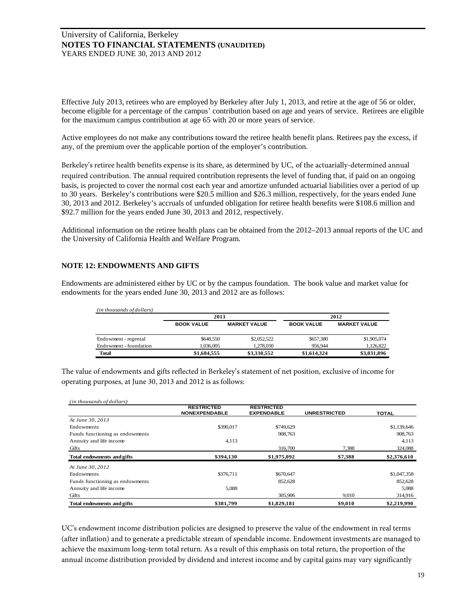Effective July 2013, retirees who are employed by Berkeley after July 1, 2013, and retire at the age of 56 or older, become eligible for a percentage of the campus' contribution based on age and years of service. Retirees are eligible for the maximum campus contribution at age 65 with 20 or more years of service.

Active employees do not make any contributions toward the retiree health benefit plans. Retirees pay the excess, if any, of the premium over the applicable portion of the employer's contribution.

Berkeley's retiree health benefits expense is its share, as determined by UC, of the actuarially-determined annual required contribution. The annual required contribution represents the level of funding that, if paid on an ongoing basis, is projected to cover the normal cost each year and amortize unfunded actuarial liabilities over a period of up to 30 years. Berkeley's contributions were \$20.5 million and \$26.3 million, respectively, for the years ended June 30, 2013 and 2012. Berkeley's accruals of unfunded obligation for retiree health benefits were \$108.6 million and \$92.7 million for the years ended June 30, 2013 and 2012, respectively.

Additional information on the retiree health plans can be obtained from the 2012–2013 annual reports of the UC and the University of California Health and Welfare Program.

## **NOTE 12: ENDOWMENTS AND GIFTS**

Endowments are administered either by UC or by the campus foundation. The book value and market value for endowments for the years ended June 30, 2013 and 2012 are as follows:

| (in thousands of dollars) |                   |                     |                   |                     |
|---------------------------|-------------------|---------------------|-------------------|---------------------|
|                           | 2013              |                     |                   | 2012                |
|                           | <b>BOOK VALUE</b> | <b>MARKET VALUE</b> | <b>BOOK VALUE</b> | <b>MARKET VALUE</b> |
| Endowment - regental      | \$648,550         | \$2,052,522         | \$657,380         | \$1,905,074         |
| Endowment - foundation    | 1.036.005         | 1,278,030           | 956,944           | 1,126,822           |
| <b>Total</b>              | \$1,684,555       | \$3,330,552         | \$1,614,324       | \$3,031,896         |

The value of endowments and gifts reflected in Berkeley's statement of net position, exclusive of income for operating purposes, at June 30, 2013 and 2012 is as follows:

| (in thousands of dollars)         |                                           |                                        |                     |              |
|-----------------------------------|-------------------------------------------|----------------------------------------|---------------------|--------------|
|                                   | <b>RESTRICTED</b><br><b>NONEXPENDABLE</b> | <b>RESTRICTED</b><br><b>EXPENDABLE</b> | <b>UNRESTRICTED</b> | <b>TOTAL</b> |
| At June 30, 2013                  |                                           |                                        |                     |              |
| Endowments                        | \$390,017                                 | \$749,629                              |                     | \$1,139,646  |
| Funds functioning as endowments   |                                           | 908,763                                |                     | 908,763      |
| Annuity and life income           | 4,113                                     |                                        |                     | 4,113        |
| Gifts                             |                                           | 316,700                                | 7.388               | 324,088      |
| Total endowments and gifts        | \$394.130                                 | \$1,975,092                            | \$7,388             | \$2,376,610  |
| At June 30, 2012                  |                                           |                                        |                     |              |
| Endowments                        | \$376,711                                 | \$670,647                              |                     | \$1,047,358  |
| Funds functioning as endowments   |                                           | 852,628                                |                     | 852,628      |
| Annuity and life income           | 5,088                                     |                                        |                     | 5,088        |
| Gifts                             |                                           | 305,906                                | 9.010               | 314,916      |
| <b>Total endowments and gifts</b> | \$381,799                                 | \$1,829,181                            | \$9,010             | \$2,219,990  |

UC's endowment income distribution policies are designed to preserve the value of the endowment in real terms (after inflation) and to generate a predictable stream of spendable income. Endowment investments are managed to achieve the maximum long-term total return. As a result of this emphasis on total return, the proportion of the annual income distribution provided by dividend and interest income and by capital gains may vary significantly